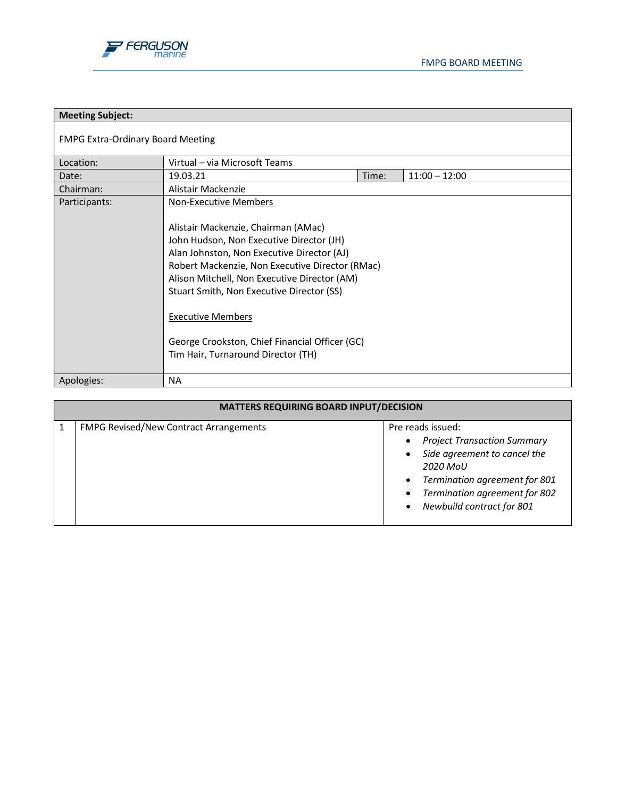

| <b>Meeting Subject:</b>           |                                                                                                                                                                                                                                                                                                                                                                                                                                   |       |                 |  |
|-----------------------------------|-----------------------------------------------------------------------------------------------------------------------------------------------------------------------------------------------------------------------------------------------------------------------------------------------------------------------------------------------------------------------------------------------------------------------------------|-------|-----------------|--|
| FMPG Extra-Ordinary Board Meeting |                                                                                                                                                                                                                                                                                                                                                                                                                                   |       |                 |  |
| Location:                         | Virtual - via Microsoft Teams                                                                                                                                                                                                                                                                                                                                                                                                     |       |                 |  |
| Date:                             | 19.03.21                                                                                                                                                                                                                                                                                                                                                                                                                          | Time: | $11:00 - 12:00$ |  |
| Chairman:                         | Alistair Mackenzie                                                                                                                                                                                                                                                                                                                                                                                                                |       |                 |  |
| Participants:                     | <b>Non-Executive Members</b><br>Alistair Mackenzie, Chairman (AMac)<br>John Hudson, Non Executive Director (JH)<br>Alan Johnston, Non Executive Director (AJ)<br>Robert Mackenzie, Non Executive Director (RMac)<br>Alison Mitchell, Non Executive Director (AM)<br>Stuart Smith, Non Executive Director (SS)<br><b>Executive Members</b><br>George Crookston, Chief Financial Officer (GC)<br>Tim Hair, Turnaround Director (TH) |       |                 |  |
| Apologies:                        | <b>NA</b>                                                                                                                                                                                                                                                                                                                                                                                                                         |       |                 |  |

| <b>MATTERS REQUIRING BOARD INPUT/DECISION</b> |                                               |                                                                                                                                                                                                    |  |
|-----------------------------------------------|-----------------------------------------------|----------------------------------------------------------------------------------------------------------------------------------------------------------------------------------------------------|--|
|                                               | <b>FMPG Revised/New Contract Arrangements</b> | Pre reads issued:<br><b>Project Transaction Summary</b><br>Side agreement to cancel the<br>2020 MoU<br>Termination agreement for 801<br>Termination agreement for 802<br>Newbuild contract for 801 |  |